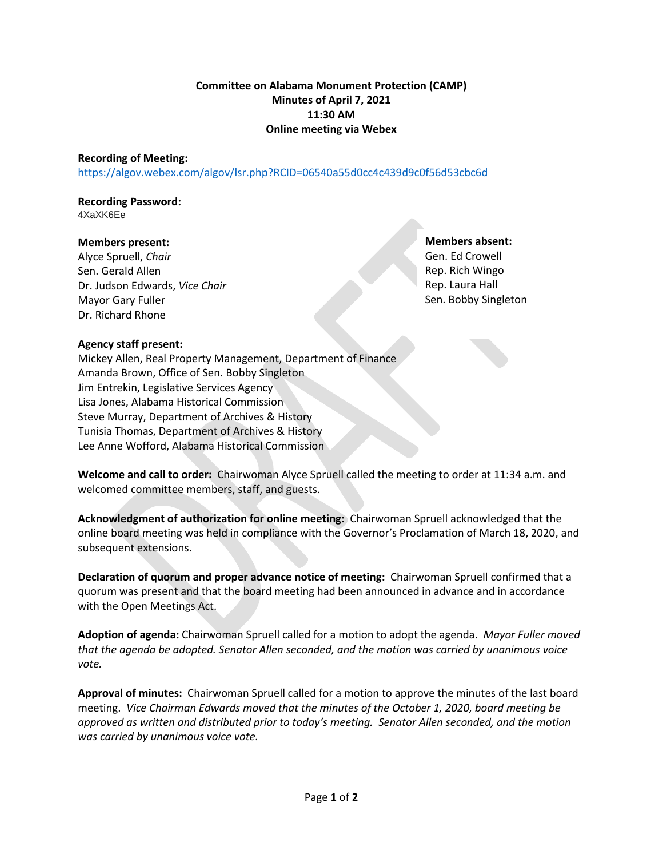## **Committee on Alabama Monument Protection (CAMP) Minutes of April 7, 2021 11:30 AM Online meeting via Webex**

#### **Recording of Meeting:**

<https://algov.webex.com/algov/lsr.php?RCID=06540a55d0cc4c439d9c0f56d53cbc6d>

#### **Recording Password:** 4XaXK6Ee

#### **Members present:**

Alyce Spruell, *Chair* Sen. Gerald Allen Dr. Judson Edwards, *Vice Chair* Mayor Gary Fuller Dr. Richard Rhone

**Members absent:** Gen. Ed Crowell Rep. Rich Wingo Rep. Laura Hall Sen. Bobby Singleton

### **Agency staff present:**

Mickey Allen, Real Property Management, Department of Finance Amanda Brown, Office of Sen. Bobby Singleton Jim Entrekin, Legislative Services Agency Lisa Jones, Alabama Historical Commission Steve Murray, Department of Archives & History Tunisia Thomas, Department of Archives & History Lee Anne Wofford, Alabama Historical Commission

**Welcome and call to order:** Chairwoman Alyce Spruell called the meeting to order at 11:34 a.m. and welcomed committee members, staff, and guests.

**Acknowledgment of authorization for online meeting:** Chairwoman Spruell acknowledged that the online board meeting was held in compliance with the Governor's Proclamation of March 18, 2020, and subsequent extensions.

**Declaration of quorum and proper advance notice of meeting:** Chairwoman Spruell confirmed that a quorum was present and that the board meeting had been announced in advance and in accordance with the Open Meetings Act.

**Adoption of agenda:** Chairwoman Spruell called for a motion to adopt the agenda. *Mayor Fuller moved that the agenda be adopted. Senator Allen seconded, and the motion was carried by unanimous voice vote.*

**Approval of minutes:** Chairwoman Spruell called for a motion to approve the minutes of the last board meeting. *Vice Chairman Edwards moved that the minutes of the October 1, 2020, board meeting be approved as written and distributed prior to today's meeting. Senator Allen seconded, and the motion was carried by unanimous voice vote.*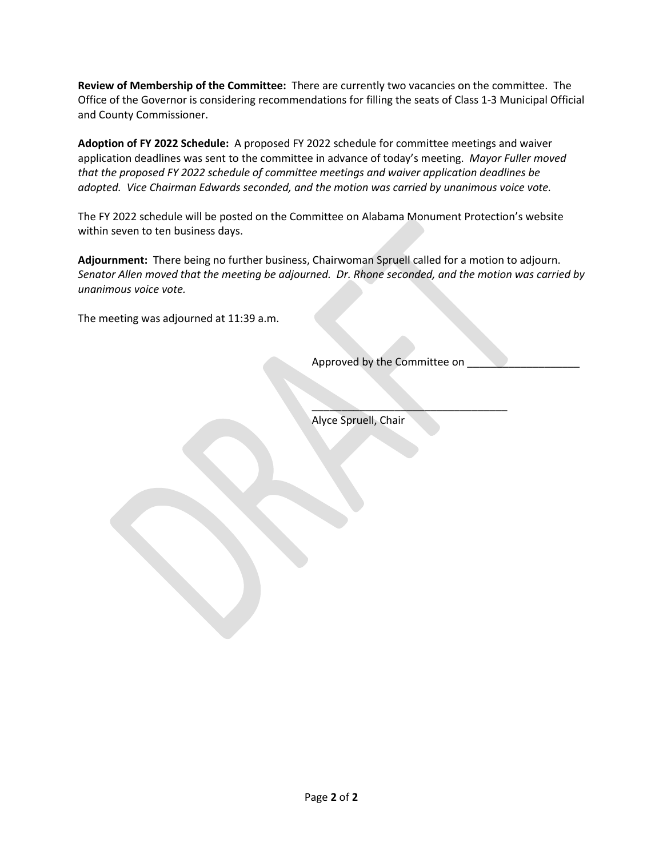**Review of Membership of the Committee:** There are currently two vacancies on the committee. The Office of the Governor is considering recommendations for filling the seats of Class 1-3 Municipal Official and County Commissioner.

**Adoption of FY 2022 Schedule:** A proposed FY 2022 schedule for committee meetings and waiver application deadlines was sent to the committee in advance of today's meeting. *Mayor Fuller moved that the proposed FY 2022 schedule of committee meetings and waiver application deadlines be adopted. Vice Chairman Edwards seconded, and the motion was carried by unanimous voice vote.*

The FY 2022 schedule will be posted on the Committee on Alabama Monument Protection's website within seven to ten business days.

**Adjournment:** There being no further business, Chairwoman Spruell called for a motion to adjourn. *Senator Allen moved that the meeting be adjourned. Dr. Rhone seconded, and the motion was carried by unanimous voice vote.*

The meeting was adjourned at 11:39 a.m.

Approved by the Committee on

 $\overline{\phantom{a}}$  , where  $\overline{\phantom{a}}$ 

Alyce Spruell, Chair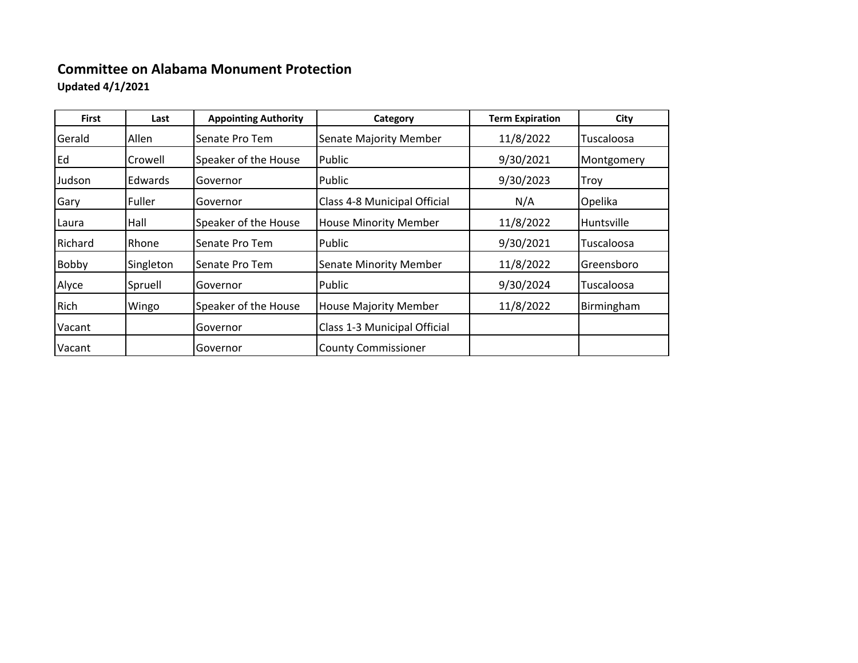# **Committee on Alabama Monument Protection**

**Updated 4/1/2021**

| <b>First</b> | Last           | <b>Appointing Authority</b> | Category                      | <b>Term Expiration</b> | City       |
|--------------|----------------|-----------------------------|-------------------------------|------------------------|------------|
| Gerald       | Allen          | Senate Pro Tem              | <b>Senate Majority Member</b> | 11/8/2022              | Tuscaloosa |
| Ed           | Crowell        | Speaker of the House        | Public                        | 9/30/2021              | Montgomery |
| Judson       | <b>Edwards</b> | Governor                    | Public                        | 9/30/2023              | Troy       |
| Gary         | l Fuller       | Governor                    | Class 4-8 Municipal Official  | N/A                    | Opelika    |
| Laura        | Hall           | Speaker of the House        | <b>House Minority Member</b>  | 11/8/2022              | Huntsville |
| Richard      | Rhone          | Senate Pro Tem              | Public                        | 9/30/2021              | Tuscaloosa |
| <b>Bobby</b> | Singleton      | Senate Pro Tem              | <b>Senate Minority Member</b> | 11/8/2022              | Greensboro |
| Alyce        | Spruell        | Governor                    | Public                        | 9/30/2024              | Tuscaloosa |
| Rich         | Wingo          | Speaker of the House        | <b>House Majority Member</b>  | 11/8/2022              | Birmingham |
| Vacant       |                | Governor                    | Class 1-3 Municipal Official  |                        |            |
| Vacant       |                | Governor                    | <b>County Commissioner</b>    |                        |            |